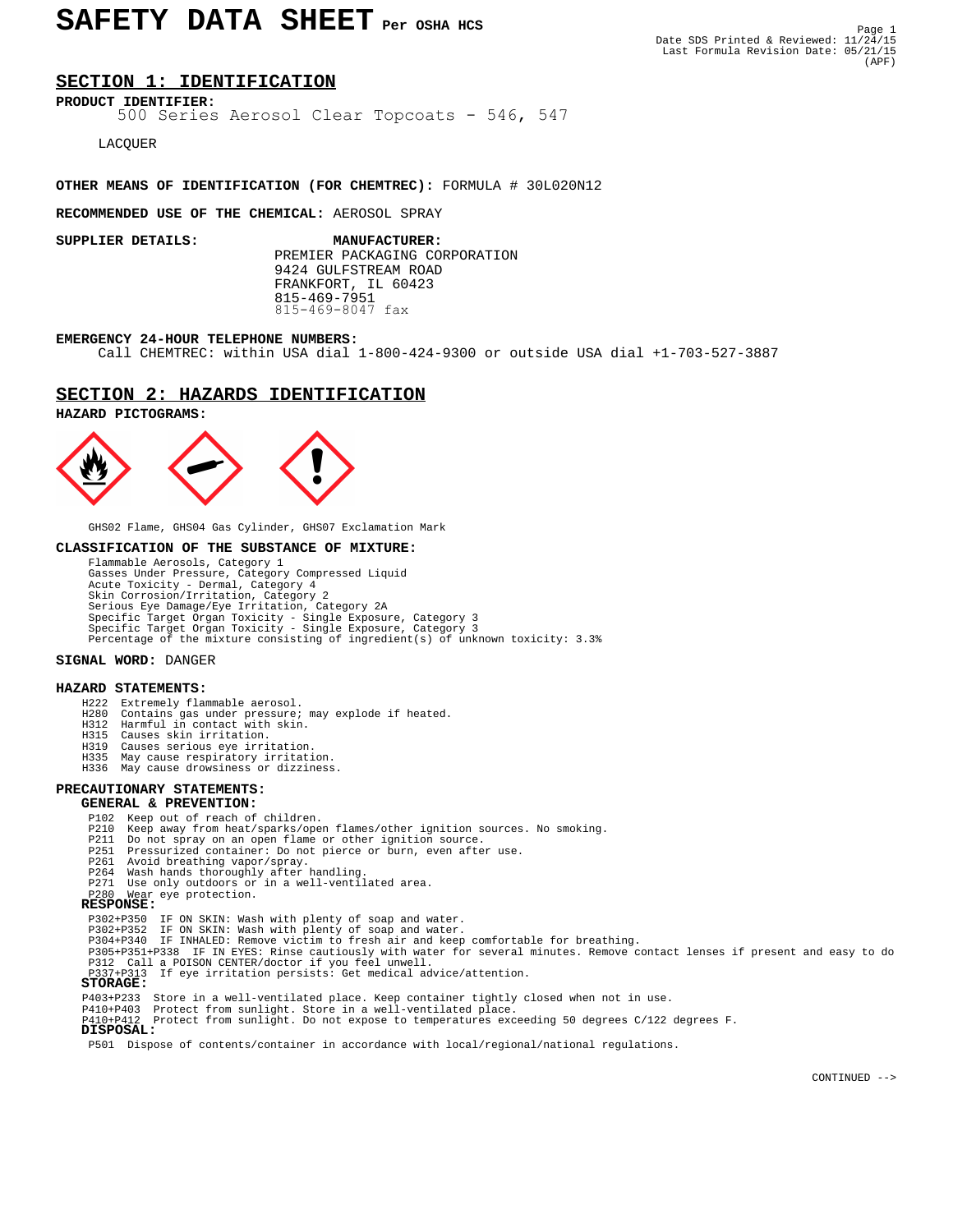# SAFETY DATA SHEET Per OSHA HCS

# **SECTION 1: IDENTIFICATION**

**PRODUCT IDENTIFIER:** 500 Series Aerosol Clear Topcoats - 546, 547

LACQUER

### **OTHER MEANS OF IDENTIFICATION (FOR CHEMTREC):** FORMULA # 30L020N12

#### **RECOMMENDED USE OF THE CHEMICAL:** AEROSOL SPRAY

 PREMIER PACKAGING CORPORATION 9424 GULFSTREAM ROAD FRANKFORT, IL 60423 815-469-7951 815-469-8047 fax**SUPPLIER DETAILS: MANUFACTURER:**

#### **EMERGENCY 24-HOUR TELEPHONE NUMBERS:**

Call CHEMTREC: within USA dial 1-800-424-9300 or outside USA dial +1-703-527-3887

## **SECTION 2: HAZARDS IDENTIFICATION**

#### **HAZARD PICTOGRAMS:**



GHS02 Flame, GHS04 Gas Cylinder, GHS07 Exclamation Mark

#### **CLASSIFICATION OF THE SUBSTANCE OF MIXTURE:**

 Flammable Aerosols, Category 1 Gasses Under Pressure, Category Compressed Liquid Acute Toxicity - Dermal, Category 4 Skin Corrosion/Irritation, Category 2 Serious Eye Damage/Eye Irritation, Category 2A Specific Target Organ Toxicity - Single Exposure, Category 3 Specific Target Organ Toxicity - Single Exposure, Category 3 Percentage of the mixture consisting of ingredient(s) of unknown toxicity: 3.3%

#### **SIGNAL WORD:** DANGER

#### **HAZARD STATEMENTS:**

- H222 Extremely flammable aerosol.
- H280 Contains gas under pressure; may explode if heated. H312 Harmful in contact with skin.
	-
	- H315 Causes skin irritation.
	- Causes serious eye irritation
	- H335 May cause respiratory irritation.
	- H336 May cause drowsiness or dizziness.

# **PRECAUTIONARY STATEMENTS:**

#### **GENERAL & PREVENTION:**

- P102 Keep out of reach of children.
- P210 Keep away from heat/sparks/open flames/other ignition sources. No smoking.
- P211 Do not spray on an open flame or other ignition source. P251 Pressurized container: Do not pierce or burn, even after use.
	-
	-
- P261 Avoid breathing vapor/spray. P264 Wash hands thoroughly after handling. P271 Use only outdoors or in a well-ventilated area.
	-

# P280 Wear eye protection.  **RESPONSE:**

- 
- 
- 
- P302+P350 IF ON SKIN: Wash with plenty of soap and water. P302+P352 IF ON SKIN: Wash with plenty of soap and water. P304+P340 IF INHALED: Remove victim to fresh air and keep comfortable for breathing.
- P305+P351+P338 IF IN EYES: Rinse cautiously with water for several minutes. Remove contact lenses if present and easy to do P312 Call a POISON CENTER/doctor if you feel unwell.
	- P313 If eye irritation persists: Get medical advice/attention.

### **STORAGE:**

- 
- P403+P233 Store in a well-ventilated place. Keep container tightly closed when not in use. P410+P403 Protect from sunlight. Store in a well-ventilated place.
	- P410+P412 Protect from sunlight. Do not expose to temperatures exceeding 50 degrees C/122 degrees F.  **DISPOSAL:**

P501 Dispose of contents/container in accordance with local/regional/national regulations.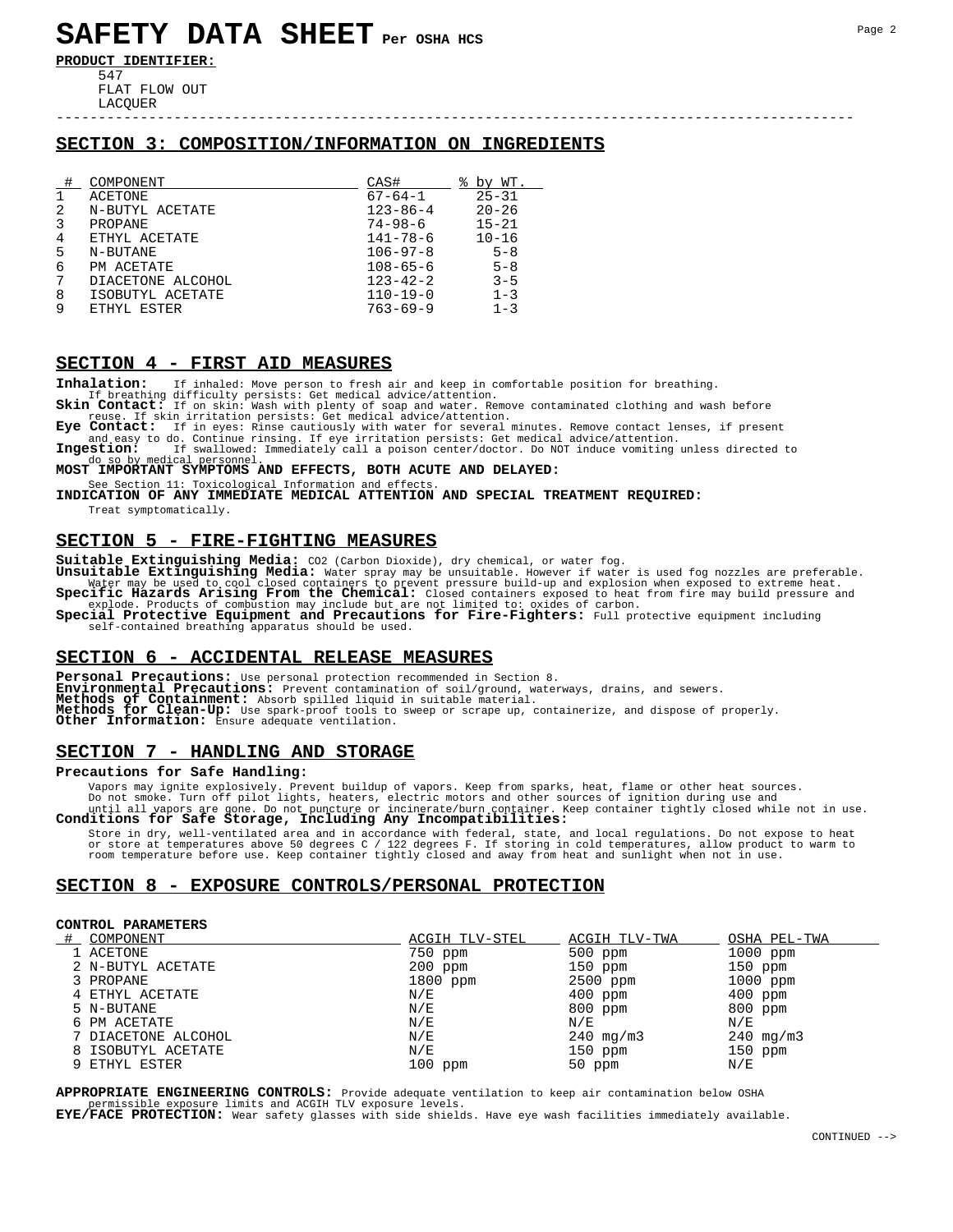# **SAFETY DATA SHEET Per OSHA HCS**

**PRODUCT IDENTIFIER:** 547

 FLAT FLOW OUT LACQUER

# **SECTION 3: COMPOSITION/INFORMATION ON INGREDIENTS**

-----------------------------------------------------------------------------------------------

|   | COMPONENT         | CAS#           | °≈<br>by WT. |
|---|-------------------|----------------|--------------|
| 1 | ACETONE           | $67 - 64 - 1$  | $25 - 31$    |
| 2 | N-BUTYL ACETATE   | $123 - 86 - 4$ | $20 - 26$    |
| 3 | PROPANE           | $74 - 98 - 6$  | $15 - 21$    |
| 4 | ETHYL ACETATE     | 141-78-6       | $10 - 16$    |
| 5 | N-BUTANE          | $106 - 97 - 8$ | $5 - 8$      |
| 6 | PM ACETATE        | $108 - 65 - 6$ | $5 - 8$      |
| 7 | DIACETONE ALCOHOL | $123 - 42 - 2$ | $3 - 5$      |
| 8 | ISOBUTYL ACETATE  | $110 - 19 - 0$ | $1 - 3$      |
| 9 | ETHYL ESTER       | $763 - 69 - 9$ | $1 - 3$      |

## **SECTION 4 - FIRST AID MEASURES**

**Inhalation:** If inhaled: Move person to fresh air and keep in comfortable position for breathing.

If breathing difficulty persists: Get medical advice/attention.<br>**Skin Contact:** If on skin: Wash with plenty of soap and water. Remove contaminated clothing and wash before<br>reuse. If skin irritation persists: Get medical a

Eye Contact: If in eyes: Rinse cautiously with water for several minutes. Remove contact lenses, if present<br>and easy to do. Continue rinsing. If eye irritation persists: Get medical advice/attention.<br>Ingestion: If swallowe

do so by medical personnel.<br>**MOST IMPORTANT SYMPTOMS AND EFFECTS, BOTH ACUTE AND DELAYED:** 

See Section 11: Toxicological Information and effects.<br>**INDICATION OF ANY IMMEDIATE MEDICAL ATTENTION AND SPECIAL TREATMENT REQUIRED:** Treat symptomatically.

#### **SECTION 5 - FIRE-FIGHTING MEASURES**

Suitable Extinguishing Media: CO2 (Carbon Dioxide), dry chemical, or water fog.<br>Unsuitable Extinguishing Media: Water spray may be unsuitable. However if water is used fog nozzles are preferable.<br>Water may be used to cool

explode. Products of combustion may include but are not limited to: oxides of carbon.<br> **Special Protective Equipment and Precautions for Fire-Fighters:** Full protective equipment including self-contained breathing apparatus should be used.

### **SECTION 6 - ACCIDENTAL RELEASE MEASURES**

**Personal Precautions:** Use personal protection recommended in Section 8.<br>**Environmental Precautions:** Prevent contamination of soil/ground, waterways, drains, and sewers.<br>**Methods of Containment:** Absorb spilled liquid in **Methods for Clean-Up:** Use spark-proof tools to sweep or scrape up, containerize, and dispose of properly. **Other Information:** Ensure adequate ventilation.

# **SECTION 7 - HANDLING AND STORAGE**

#### **Precautions for Safe Handling:**

Vapors may ignite explosively. Prevent buildup of vapors. Keep from sparks, heat, flame or other heat sources.<br>Do not smoot smoot on the interest electric motors and other sources of ignition during use and<br>until all vapor

Store in dry, well-ventilated area and in accordance with federal, state, and local regulations. Do not expose to heat<br>or store at temperatures above 50 degrees C / 122 degrees F. If storing in cold temperatures, allow pro

# **SECTION 8 - EXPOSURE CONTROLS/PERSONAL PROTECTION**

#### **CONTROL PARAMETERS**

| COMPONENT           | ACGIH TLV-STEL          | ACGIH TLV-TWA  | OSHA PEL-TWA   |
|---------------------|-------------------------|----------------|----------------|
| 1 ACETONE           | 750 ppm                 | $500$ ppm      | $1000$ ppm     |
| 2 N-BUTYL ACETATE   | $200$ ppm               | $150$ ppm      | $150$ ppm      |
| 3 PROPANE           | 1800 ppm                | 2500 ppm       | $1000$ ppm     |
| 4 ETHYL ACETATE     | N/E                     | $400$ ppm      | $400$ ppm      |
| 5 N-BUTANE          | N/E                     | $800$ ppm      | $800$ ppm      |
| 6 PM ACETATE        | N/E                     | N/E            | N/E            |
| 7 DIACETONE ALCOHOL | N/E                     | $240 \,$ mg/m3 | $240 \,$ mg/m3 |
| 8 ISOBUTYL ACETATE  | $\mathrm{N}/\mathrm{E}$ | $150$ ppm      | $150$ ppm      |
| 9 ETHYL ESTER       | $100$ ppm               | $50$ ppm       | N/E            |

**APPROPRIATE ENGINEERING CONTROLS:** Provide adequate ventilation to keep air contamination below OSHA permissible exposure limits and ACGIH TLV exposure levels.<br>**EYE/FACE PROTECTION:** Wear safety glasses with side shields. Have eye wash facilities immediately available.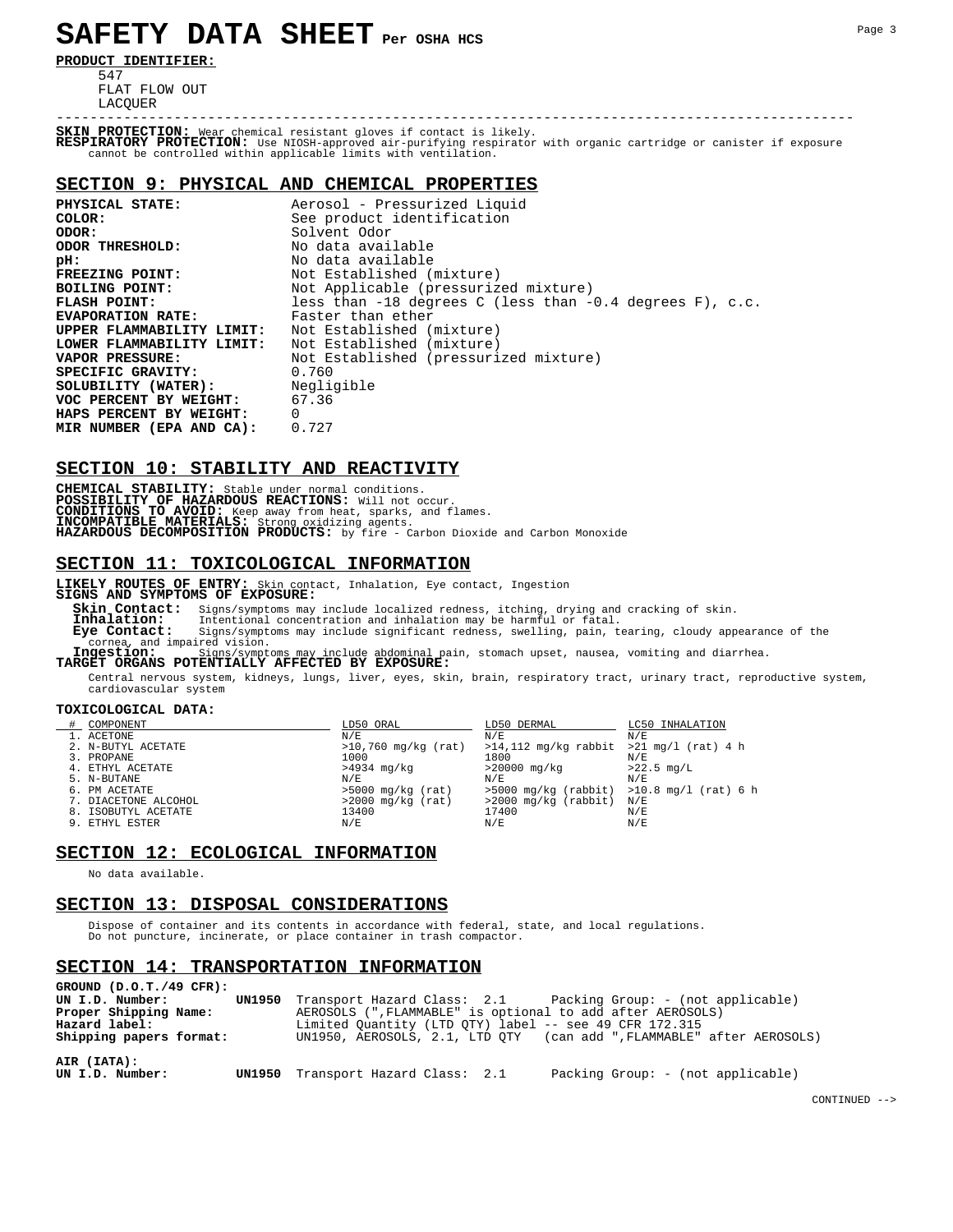# **SAFETY DATA SHEET Per OSHA HCS**

**PRODUCT IDENTIFIER:**

 547 FLAT FLOW OUT LACQUER

----------------------------------------------------------------------------------------------- **SKIN PROTECTION:** Wear chemical resistant gloves if contact is likely. **RESPIRATORY PROTECTION:** Use NIOSH-approved air-purifying respirator with organic cartridge or canister if exposure cannot be controlled within applicable limits with ventilation.

#### **SECTION 9: PHYSICAL AND CHEMICAL PROPERTIES**

| PHYSICAL STATE:                | Aerosol - Pressurized Liquid                                 |
|--------------------------------|--------------------------------------------------------------|
| COLOR:                         | See product identification                                   |
| ODOR:                          | Solvent Odor                                                 |
| ODOR THRESHOLD:                | No data available                                            |
| pH:                            | No data available                                            |
| FREEZING POINT:                | Not Established (mixture)                                    |
| BOILING POINT:                 | Not Applicable (pressurized mixture)                         |
| <b>FLASH POINT:</b>            | less than $-18$ degrees C (less than $-0.4$ degrees F), c.c. |
| <b>EVAPORATION RATE:</b>       | Faster than ether                                            |
| UPPER FLAMMABILITY LIMIT:      | Not Established (mixture)                                    |
| LOWER FLAMMABILITY LIMIT:      | Not Established (mixture)                                    |
| VAPOR PRESSURE:                | Not Established (pressurized mixture)                        |
| SPECIFIC GRAVITY:              | 0.760                                                        |
| SOLUBILITY (WATER): Negligible |                                                              |
| VOC PERCENT BY WEIGHT: 67.36   |                                                              |
| HAPS PERCENT BY WEIGHT:        | $\Omega$                                                     |
| MIR NUMBER (EPA AND CA):       | 0.727                                                        |

# **SECTION 10: STABILITY AND REACTIVITY**

**CHEMICAL STABILITY:** Stable under normal conditions.<br>**POSSIBILITY OF HAZARDOUS REACTIONS:** Will not occur.<br>**CONDITIONS TO AVOID: Keep** away from heat, sparks, and flames.<br>**INCOMPATIBLE MATERIALS:** Strong oxidizing agents.

# **SECTION 11: TOXICOLOGICAL INFORMATION**

**LIKELY ROUTES OF ENTRY:** Skin contact, Inhalation, Eye contact, Ingestion

**SIGNS AND SYMPTOMS OF EXPOSURE: Skin Contact:** Signs/symptoms may include localized redness, itching, drying and cracking of skin. **Inhalation:** Intentional concentration and inhalation may be harmful or fatal. **Eye Contact:** Intentional concentration and inharation may be narming of fact.<br> **Eye Contact:** Signs/symptoms may include significant redness, swelling, pain, tearing, cloudy appearance of the<br> **Contaction:** Signs/symptom

cornea, and impaired vision. **Ingestion:** Signs/symptoms may include abdominal pain, stomach upset, nausea, vomiting and diarrhea. **TARGET ORGANS POTENTIALLY AFFECTED BY EXPOSURE:**

 Central nervous system, kidneys, lungs, liver, eyes, skin, brain, respiratory tract, urinary tract, reproductive system, cardiovascular system

#### **TOXICOLOGICAL DATA:**

| COMPONENT            | LD50 ORAL             | LD50 DERMAL                                   | LC50 INHALATION |
|----------------------|-----------------------|-----------------------------------------------|-----------------|
| 1. ACETONE           | N/E                   | N/E                                           | N/E             |
| 2. N-BUTYL ACETATE   | $>10,760$ mg/kg (rat) | $>14,112$ mg/kg rabbit $>21$ mg/l (rat) 4 h   |                 |
| 3. PROPANE           | 1000                  | 1800                                          | N/E             |
| 4. ETHYL ACETATE     | >4934 mg/kg           | >20000 mg/kg                                  | $>22.5$ mg/L    |
| 5. N-BUTANE          | N/E                   | N/F.                                          | N/F             |
| 6. PM ACETATE        | $>5000$ mg/kg (rat)   | $>5000$ mg/kg (rabbit) $>10.8$ mg/l (rat) 6 h |                 |
| 7. DIACETONE ALCOHOL | $>2000$ mg/kg (rat)   | >2000 mg/kg (rabbit) N/E                      |                 |
| 8. ISOBUTYL ACETATE  | 13400                 | 17400                                         | N/E             |
| 9. ETHYL ESTER       | N/E                   | N/E                                           | N/E             |

### **SECTION 12: ECOLOGICAL INFORMATION**

No data available.

# **SECTION 13: DISPOSAL CONSIDERATIONS**

 Dispose of container and its contents in accordance with federal, state, and local regulations. Do not puncture, incinerate, or place container in trash compactor.

#### **SECTION 14: TRANSPORTATION INFORMATION**  $\Gamma$  ( $\Gamma$   $\Omega$   $\Gamma$  /49  $\sigma$ **T**

| GROUND (D.O.T./49 CFR):<br>UN I.D. Number:<br>Proper Shipping Name:<br>Hazard label:<br>Shipping papers format: | <b>UN1950</b> Transport Hazard Class: 2.1 Packing Group: - (not applicable)<br>AEROSOLS (", FLAMMABLE" is optional to add after AEROSOLS)<br>Limited Quantity (LTD QTY) label -- see 49 CFR 172.315<br>UN1950, AEROSOLS, 2.1, LTD OTY (can add ", FLAMMABLE" after AEROSOLS) |
|-----------------------------------------------------------------------------------------------------------------|------------------------------------------------------------------------------------------------------------------------------------------------------------------------------------------------------------------------------------------------------------------------------|
| AIR (IATA):<br>UN I.D. Number:                                                                                  | Packing Group: - (not applicable)<br>UN1950 Transport Hazard Class: 2.1                                                                                                                                                                                                      |

CONTINUED -->